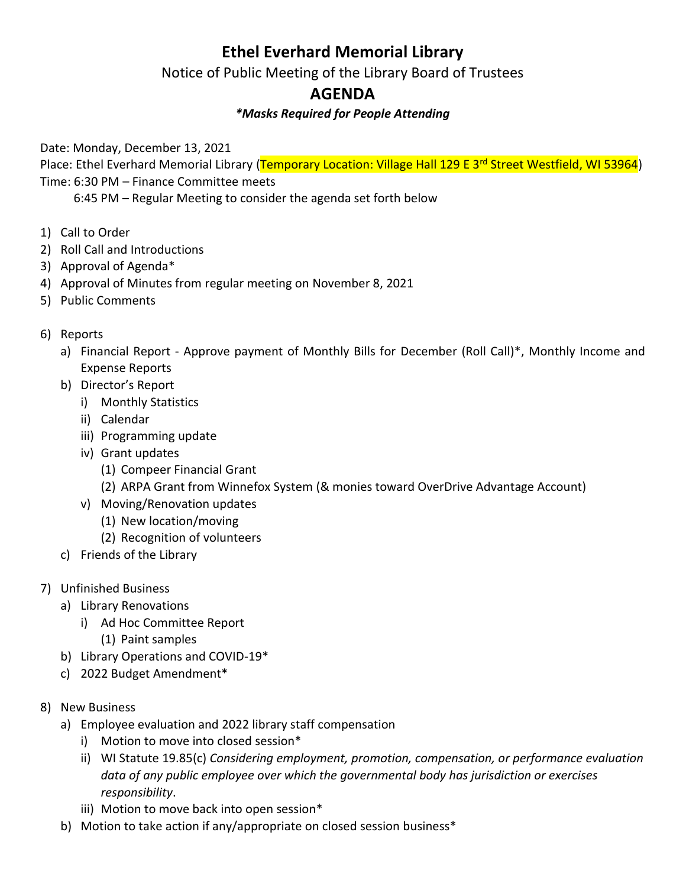# **Ethel Everhard Memorial Library**

Notice of Public Meeting of the Library Board of Trustees

# **AGENDA**

## *\*Masks Required for People Attending*

Date: Monday, December 13, 2021

Place: Ethel Everhard Memorial Library (Temporary Location: Village Hall 129 E 3<sup>rd</sup> Street Westfield, WI 53964) Time: 6:30 PM – Finance Committee meets

6:45 PM – Regular Meeting to consider the agenda set forth below

- 1) Call to Order
- 2) Roll Call and Introductions
- 3) Approval of Agenda\*
- 4) Approval of Minutes from regular meeting on November 8, 2021
- 5) Public Comments

### 6) Reports

- a) Financial Report Approve payment of Monthly Bills for December (Roll Call)\*, Monthly Income and Expense Reports
- b) Director's Report
	- i) Monthly Statistics
	- ii) Calendar
	- iii) Programming update
	- iv) Grant updates
		- (1) Compeer Financial Grant
		- (2) ARPA Grant from Winnefox System (& monies toward OverDrive Advantage Account)
	- v) Moving/Renovation updates
		- (1) New location/moving
		- (2) Recognition of volunteers
- c) Friends of the Library
- 7) Unfinished Business
	- a) Library Renovations
		- i) Ad Hoc Committee Report
			- (1) Paint samples
	- b) Library Operations and COVID-19\*
	- c) 2022 Budget Amendment\*
- 8) New Business
	- a) Employee evaluation and 2022 library staff compensation
		- i) Motion to move into closed session\*
		- ii) WI Statute 19.85(c) *Considering employment, promotion, compensation, or performance evaluation data of any public employee over which the governmental body has jurisdiction or exercises responsibility*.
		- iii) Motion to move back into open session\*
	- b) Motion to take action if any/appropriate on closed session business\*